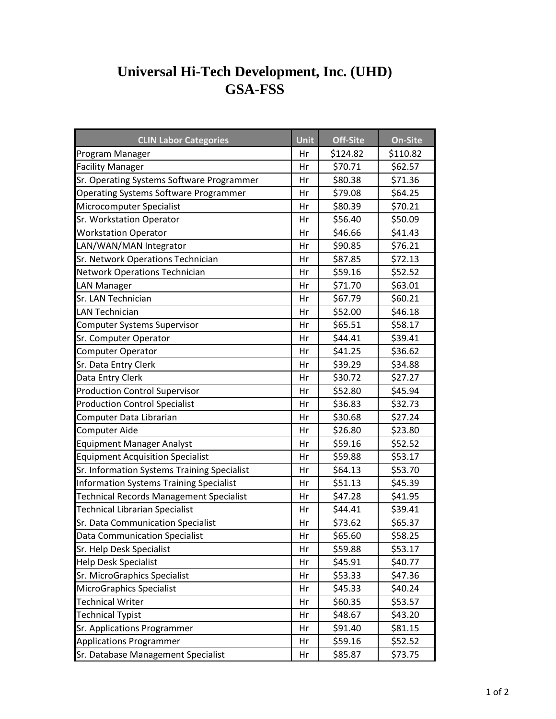## **GSA-FSS Universal Hi-Tech Development, Inc. (UHD)**

| <b>CLIN Labor Categories</b>                   | <b>Unit</b> | Off-Site | <b>On-Site</b> |
|------------------------------------------------|-------------|----------|----------------|
| Program Manager                                | Hr          | \$124.82 | \$110.82       |
| <b>Facility Manager</b>                        | Hr          | \$70.71  | \$62.57        |
| Sr. Operating Systems Software Programmer      | Hr          | \$80.38  | \$71.36        |
| <b>Operating Systems Software Programmer</b>   | Hr          | \$79.08  | \$64.25        |
| Microcomputer Specialist                       | Hr          | \$80.39  | \$70.21        |
| Sr. Workstation Operator                       | Hr          | \$56.40  | \$50.09        |
| <b>Workstation Operator</b>                    | Hr          | \$46.66  | \$41.43        |
| LAN/WAN/MAN Integrator                         | Hr          | \$90.85  | \$76.21        |
| Sr. Network Operations Technician              | Hr          | \$87.85  | \$72.13        |
| <b>Network Operations Technician</b>           | Hr          | \$59.16  | \$52.52        |
| <b>LAN Manager</b>                             | Hr          | \$71.70  | \$63.01        |
| Sr. LAN Technician                             | Hr          | \$67.79  | \$60.21        |
| <b>LAN Technician</b>                          | Hr          | \$52.00  | \$46.18        |
| Computer Systems Supervisor                    | Hr          | \$65.51  | \$58.17        |
| Sr. Computer Operator                          | Hr          | \$44.41  | \$39.41        |
| Computer Operator                              | Hr          | \$41.25  | \$36.62        |
| Sr. Data Entry Clerk                           | Hr          | \$39.29  | \$34.88        |
| Data Entry Clerk                               | Hr          | \$30.72  | \$27.27        |
| <b>Production Control Supervisor</b>           | Hr          | \$52.80  | \$45.94        |
| <b>Production Control Specialist</b>           | Hr          | \$36.83  | \$32.73        |
| Computer Data Librarian                        | Hr          | \$30.68  | \$27.24        |
| <b>Computer Aide</b>                           | Hr          | \$26.80  | \$23.80        |
| <b>Equipment Manager Analyst</b>               | Hr          | \$59.16  | \$52.52        |
| <b>Equipment Acquisition Specialist</b>        | Hr          | \$59.88  | \$53.17        |
| Sr. Information Systems Training Specialist    | Hr          | \$64.13  | \$53.70        |
| <b>Information Systems Training Specialist</b> | Hr          | \$51.13  | \$45.39        |
| <b>Technical Records Management Specialist</b> | Hr          | \$47.28  | \$41.95        |
| <b>Technical Librarian Specialist</b>          | Hr          | \$44.41  | \$39.41        |
| Sr. Data Communication Specialist              | Hr          | \$73.62  | \$65.37        |
| <b>Data Communication Specialist</b>           | Hr          | \$65.60  | \$58.25        |
| Sr. Help Desk Specialist                       | Hr          | \$59.88  | \$53.17        |
| <b>Help Desk Specialist</b>                    | Hr          | \$45.91  | \$40.77        |
| Sr. MicroGraphics Specialist                   | Hr          | \$53.33  | \$47.36        |
| <b>MicroGraphics Specialist</b>                | Hr          | \$45.33  | \$40.24        |
| <b>Technical Writer</b>                        | Hr          | \$60.35  | \$53.57        |
| <b>Technical Typist</b>                        | Hr          | \$48.67  | \$43.20        |
| Sr. Applications Programmer                    | Hr          | \$91.40  | \$81.15        |
| <b>Applications Programmer</b>                 | Hr          | \$59.16  | \$52.52        |
| Sr. Database Management Specialist             | Hr          | \$85.87  | \$73.75        |